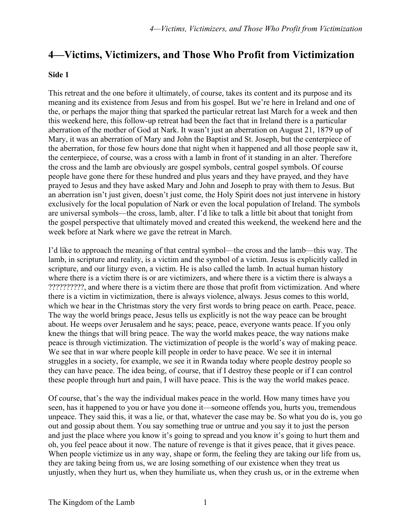## **4—Victims, Victimizers, and Those Who Profit from Victimization**

## **Side 1**

This retreat and the one before it ultimately, of course, takes its content and its purpose and its meaning and its existence from Jesus and from his gospel. But we're here in Ireland and one of the, or perhaps the major thing that sparked the particular retreat last March for a week and then this weekend here, this follow-up retreat had been the fact that in Ireland there is a particular aberration of the mother of God at Nark. It wasn't just an aberration on August 21, 1879 up of Mary, it was an aberration of Mary and John the Baptist and St. Joseph, but the centerpiece of the aberration, for those few hours done that night when it happened and all those people saw it, the centerpiece, of course, was a cross with a lamb in front of it standing in an alter. Therefore the cross and the lamb are obviously are gospel symbols, central gospel symbols. Of course people have gone there for these hundred and plus years and they have prayed, and they have prayed to Jesus and they have asked Mary and John and Joseph to pray with them to Jesus. But an aberration isn't just given, doesn't just come, the Holy Spirit does not just intervene in history exclusively for the local population of Nark or even the local population of Ireland. The symbols are universal symbols—the cross, lamb, alter. I'd like to talk a little bit about that tonight from the gospel perspective that ultimately moved and created this weekend, the weekend here and the week before at Nark where we gave the retreat in March.

I'd like to approach the meaning of that central symbol—the cross and the lamb—this way. The lamb, in scripture and reality, is a victim and the symbol of a victim. Jesus is explicitly called in scripture, and our liturgy even, a victim. He is also called the lamb. In actual human history where there is a victim there is or are victimizers, and where there is a victim there is always a ??????????, and where there is a victim there are those that profit from victimization. And where there is a victim in victimization, there is always violence, always. Jesus comes to this world, which we hear in the Christmas story the very first words to bring peace on earth. Peace, peace. The way the world brings peace, Jesus tells us explicitly is not the way peace can be brought about. He weeps over Jerusalem and he says; peace, peace, everyone wants peace. If you only knew the things that will bring peace. The way the world makes peace, the way nations make peace is through victimization. The victimization of people is the world's way of making peace. We see that in war where people kill people in order to have peace. We see it in internal struggles in a society, for example, we see it in Rwanda today where people destroy people so they can have peace. The idea being, of course, that if I destroy these people or if I can control these people through hurt and pain, I will have peace. This is the way the world makes peace.

Of course, that's the way the individual makes peace in the world. How many times have you seen, has it happened to you or have you done it—someone offends you, hurts you, tremendous unpeace. They said this, it was a lie, or that, whatever the case may be. So what you do is, you go out and gossip about them. You say something true or untrue and you say it to just the person and just the place where you know it's going to spread and you know it's going to hurt them and oh, you feel peace about it now. The nature of revenge is that it gives peace, that it gives peace. When people victimize us in any way, shape or form, the feeling they are taking our life from us, they are taking being from us, we are losing something of our existence when they treat us unjustly, when they hurt us, when they humiliate us, when they crush us, or in the extreme when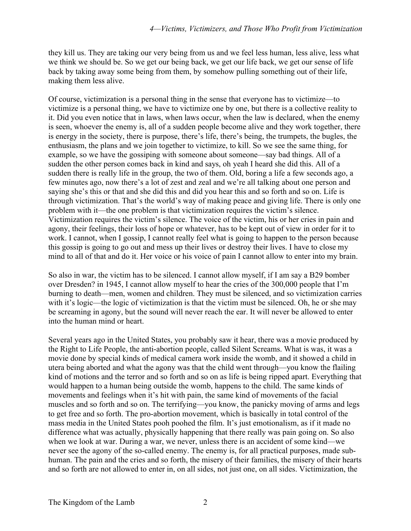they kill us. They are taking our very being from us and we feel less human, less alive, less what we think we should be. So we get our being back, we get our life back, we get our sense of life back by taking away some being from them, by somehow pulling something out of their life, making them less alive.

Of course, victimization is a personal thing in the sense that everyone has to victimize—to victimize is a personal thing, we have to victimize one by one, but there is a collective reality to it. Did you even notice that in laws, when laws occur, when the law is declared, when the enemy is seen, whoever the enemy is, all of a sudden people become alive and they work together, there is energy in the society, there is purpose, there's life, there's being, the trumpets, the bugles, the enthusiasm, the plans and we join together to victimize, to kill. So we see the same thing, for example, so we have the gossiping with someone about someone—say bad things. All of a sudden the other person comes back in kind and says, oh yeah I heard she did this. All of a sudden there is really life in the group, the two of them. Old, boring a life a few seconds ago, a few minutes ago, now there's a lot of zest and zeal and we're all talking about one person and saying she's this or that and she did this and did you hear this and so forth and so on. Life is through victimization. That's the world's way of making peace and giving life. There is only one problem with it—the one problem is that victimization requires the victim's silence. Victimization requires the victim's silence. The voice of the victim, his or her cries in pain and agony, their feelings, their loss of hope or whatever, has to be kept out of view in order for it to work. I cannot, when I gossip, I cannot really feel what is going to happen to the person because this gossip is going to go out and mess up their lives or destroy their lives. I have to close my mind to all of that and do it. Her voice or his voice of pain I cannot allow to enter into my brain.

So also in war, the victim has to be silenced. I cannot allow myself, if I am say a B29 bomber over Dresden? in 1945, I cannot allow myself to hear the cries of the 300,000 people that I'm burning to death—men, women and children. They must be silenced, and so victimization carries with it's logic—the logic of victimization is that the victim must be silenced. Oh, he or she may be screaming in agony, but the sound will never reach the ear. It will never be allowed to enter into the human mind or heart.

Several years ago in the United States, you probably saw it hear, there was a movie produced by the Right to Life People, the anti-abortion people, called Silent Screams. What is was, it was a movie done by special kinds of medical camera work inside the womb, and it showed a child in utera being aborted and what the agony was that the child went through—you know the flailing kind of motions and the terror and so forth and so on as life is being ripped apart. Everything that would happen to a human being outside the womb, happens to the child. The same kinds of movements and feelings when it's hit with pain, the same kind of movements of the facial muscles and so forth and so on. The terrifying—you know, the panicky moving of arms and legs to get free and so forth. The pro-abortion movement, which is basically in total control of the mass media in the United States pooh poohed the film. It's just emotionalism, as if it made no difference what was actually, physically happening that there really was pain going on. So also when we look at war. During a war, we never, unless there is an accident of some kind—we never see the agony of the so-called enemy. The enemy is, for all practical purposes, made subhuman. The pain and the cries and so forth, the misery of their families, the misery of their hearts and so forth are not allowed to enter in, on all sides, not just one, on all sides. Victimization, the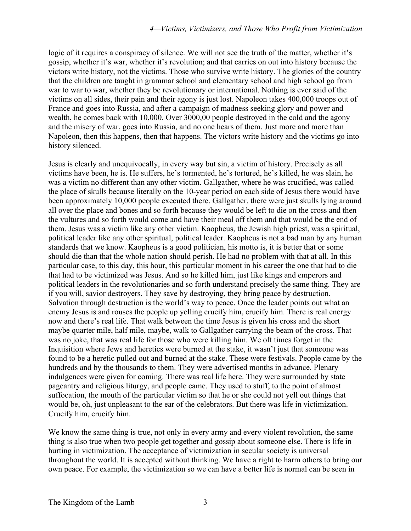logic of it requires a conspiracy of silence. We will not see the truth of the matter, whether it's gossip, whether it's war, whether it's revolution; and that carries on out into history because the victors write history, not the victims. Those who survive write history. The glories of the country that the children are taught in grammar school and elementary school and high school go from war to war to war, whether they be revolutionary or international. Nothing is ever said of the victims on all sides, their pain and their agony is just lost. Napoleon takes 400,000 troops out of France and goes into Russia, and after a campaign of madness seeking glory and power and wealth, he comes back with 10,000. Over 3000,00 people destroyed in the cold and the agony and the misery of war, goes into Russia, and no one hears of them. Just more and more than Napoleon, then this happens, then that happens. The victors write history and the victims go into history silenced.

Jesus is clearly and unequivocally, in every way but sin, a victim of history. Precisely as all victims have been, he is. He suffers, he's tormented, he's tortured, he's killed, he was slain, he was a victim no different than any other victim. Gallgather, where he was crucified, was called the place of skulls because literally on the 10-year period on each side of Jesus there would have been approximately 10,000 people executed there. Gallgather, there were just skulls lying around all over the place and bones and so forth because they would be left to die on the cross and then the vultures and so forth would come and have their meal off them and that would be the end of them. Jesus was a victim like any other victim. Kaopheus, the Jewish high priest, was a spiritual, political leader like any other spiritual, political leader. Kaopheus is not a bad man by any human standards that we know. Kaopheus is a good politician, his motto is, it is better that or some should die than that the whole nation should perish. He had no problem with that at all. In this particular case, to this day, this hour, this particular moment in his career the one that had to die that had to be victimized was Jesus. And so he killed him, just like kings and emperors and political leaders in the revolutionaries and so forth understand precisely the same thing. They are if you will, savior destroyers. They save by destroying, they bring peace by destruction. Salvation through destruction is the world's way to peace. Once the leader points out what an enemy Jesus is and rouses the people up yelling crucify him, crucify him. There is real energy now and there's real life. That walk between the time Jesus is given his cross and the short maybe quarter mile, half mile, maybe, walk to Gallgather carrying the beam of the cross. That was no joke, that was real life for those who were killing him. We oft times forget in the Inquisition where Jews and heretics were burned at the stake, it wasn't just that someone was found to be a heretic pulled out and burned at the stake. These were festivals. People came by the hundreds and by the thousands to them. They were advertised months in advance. Plenary indulgences were given for coming. There was real life here. They were surrounded by state pageantry and religious liturgy, and people came. They used to stuff, to the point of almost suffocation, the mouth of the particular victim so that he or she could not yell out things that would be, oh, just unpleasant to the ear of the celebrators. But there was life in victimization. Crucify him, crucify him.

We know the same thing is true, not only in every army and every violent revolution, the same thing is also true when two people get together and gossip about someone else. There is life in hurting in victimization. The acceptance of victimization in secular society is universal throughout the world. It is accepted without thinking. We have a right to harm others to bring our own peace. For example, the victimization so we can have a better life is normal can be seen in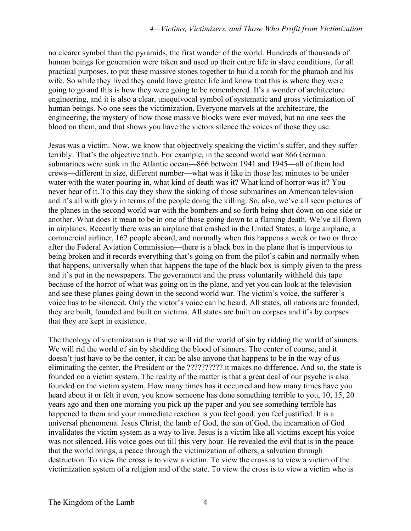no clearer symbol than the pyramids, the first wonder of the world. Hundreds of thousands of human beings for generation were taken and used up their entire life in slave conditions, for all practical purposes, to put these massive stones together to build a tomb for the pharaoh and his wife. So while they lived they could have greater life and know that this is where they were going to go and this is how they were going to be remembered. It's a wonder of architecture engineering, and it is also a clear, unequivocal symbol of systematic and gross victimization of human beings. No one sees the victimization. Everyone marvels at the architecture, the engineering, the mystery of how those massive blocks were ever moved, but no one sees the blood on them, and that shows you have the victors silence the voices of those they use.

Jesus was a victim. Now, we know that objectively speaking the victim's suffer, and they suffer terribly. That's the objective truth. For example, in the second world war 866 German submarines were sunk in the Atlantic ocean—866 between 1941 and 1945—all of them had crews—different in size, different number—what was it like in those last minutes to be under water with the water pouring in, what kind of death was it? What kind of horror was it? You never hear of it. To this day they show the sinking of those submarines on American television and it's all with glory in terms of the people doing the killing. So, also, we've all seen pictures of the planes in the second world war with the bombers and so forth being shot down on one side or another. What does it mean to be in one of those going down to a flaming death. We've all flown in airplanes. Recently there was an airplane that crashed in the United States, a large airplane, a commercial airliner, 162 people aboard, and normally when this happens a week or two or three after the Federal Aviation Commission—there is a black box in the plane that is impervious to being broken and it records everything that's going on from the pilot's cabin and normally when that happens, universally when that happens the tape of the black box is simply given to the press and it's put in the newspapers. The government and the press voluntarily withheld this tape because of the horror of what was going on in the plane, and yet you can look at the television and see these planes going down in the second world war. The victim's voice, the sufferer's voice has to be silenced. Only the victor's voice can be heard. All states, all nations are founded, they are built, founded and built on victims. All states are built on corpses and it's by corpses that they are kept in existence.

The theology of victimization is that we will rid the world of sin by ridding the world of sinners. We will rid the world of sin by shedding the blood of sinners. The center of course, and it doesn't just have to be the center, it can be also anyone that happens to be in the way of us eliminating the center, the President or the ?????????? it makes no difference. And so, the state is founded on a victim system. The reality of the matter is that a great deal of our psyche is also founded on the victim system. How many times has it occurred and how many times have you heard about it or felt it even, you know someone has done something terrible to you, 10, 15, 20 years ago and then one morning you pick up the paper and you see something terrible has happened to them and your immediate reaction is you feel good, you feel justified. It is a universal phenomena. Jesus Christ, the lamb of God, the son of God, the incarnation of God invalidates the victim system as a way to live. Jesus is a victim like all victims except his voice was not silenced. His voice goes out till this very hour. He revealed the evil that is in the peace that the world brings, a peace through the victimization of others, a salvation through destruction. To view the cross is to view a victim. To view the cross is to view a victim of the victimization system of a religion and of the state. To view the cross is to view a victim who is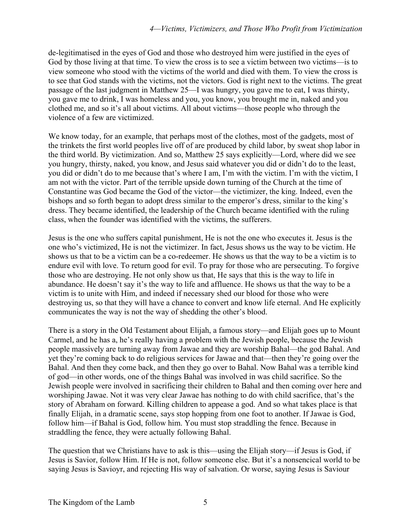de-legitimatised in the eyes of God and those who destroyed him were justified in the eyes of God by those living at that time. To view the cross is to see a victim between two victims—is to view someone who stood with the victims of the world and died with them. To view the cross is to see that God stands with the victims, not the victors. God is right next to the victims. The great passage of the last judgment in Matthew 25—I was hungry, you gave me to eat, I was thirsty, you gave me to drink, I was homeless and you, you know, you brought me in, naked and you clothed me, and so it's all about victims. All about victims—those people who through the violence of a few are victimized.

We know today, for an example, that perhaps most of the clothes, most of the gadgets, most of the trinkets the first world peoples live off of are produced by child labor, by sweat shop labor in the third world. By victimization. And so, Matthew 25 says explicitly—Lord, where did we see you hungry, thirsty, naked, you know, and Jesus said whatever you did or didn't do to the least, you did or didn't do to me because that's where I am, I'm with the victim. I'm with the victim, I am not with the victor. Part of the terrible upside down turning of the Church at the time of Constantine was God became the God of the victor—the victimizer, the king. Indeed, even the bishops and so forth began to adopt dress similar to the emperor's dress, similar to the king's dress. They became identified, the leadership of the Church became identified with the ruling class, when the founder was identified with the victims, the sufferers.

Jesus is the one who suffers capital punishment, He is not the one who executes it. Jesus is the one who's victimized, He is not the victimizer. In fact, Jesus shows us the way to be victim. He shows us that to be a victim can be a co-redeemer. He shows us that the way to be a victim is to endure evil with love. To return good for evil. To pray for those who are persecuting. To forgive those who are destroying. He not only show us that, He says that this is the way to life in abundance. He doesn't say it's the way to life and affluence. He shows us that the way to be a victim is to unite with Him, and indeed if necessary shed our blood for those who were destroying us, so that they will have a chance to convert and know life eternal. And He explicitly communicates the way is not the way of shedding the other's blood.

There is a story in the Old Testament about Elijah, a famous story—and Elijah goes up to Mount Carmel, and he has a, he's really having a problem with the Jewish people, because the Jewish people massively are turning away from Jawae and they are worship Bahal—the god Bahal. And yet they're coming back to do religious services for Jawae and that—then they're going over the Bahal. And then they come back, and then they go over to Bahal. Now Bahal was a terrible kind of god—in other words, one of the things Bahal was involved in was child sacrifice. So the Jewish people were involved in sacrificing their children to Bahal and then coming over here and worshiping Jawae. Not it was very clear Jawae has nothing to do with child sacrifice, that's the story of Abraham on forward. Killing children to appease a god. And so what takes place is that finally Elijah, in a dramatic scene, says stop hopping from one foot to another. If Jawae is God, follow him—if Bahal is God, follow him. You must stop straddling the fence. Because in straddling the fence, they were actually following Bahal.

The question that we Christians have to ask is this—using the Elijah story—if Jesus is God, if Jesus is Savior, follow Him. If He is not, follow someone else. But it's a nonsencical world to be saying Jesus is Savioyr, and rejecting His way of salvation. Or worse, saying Jesus is Saviour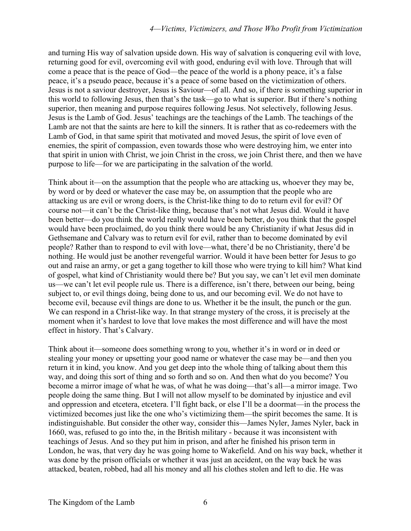and turning His way of salvation upside down. His way of salvation is conquering evil with love, returning good for evil, overcoming evil with good, enduring evil with love. Through that will come a peace that is the peace of God—the peace of the world is a phony peace, it's a false peace, it's a pseudo peace, because it's a peace of some based on the victimization of others. Jesus is not a saviour destroyer, Jesus is Saviour—of all. And so, if there is something superior in this world to following Jesus, then that's the task—go to what is superior. But if there's nothing superior, then meaning and purpose requires following Jesus. Not selectively, following Jesus. Jesus is the Lamb of God. Jesus' teachings are the teachings of the Lamb. The teachings of the Lamb are not that the saints are here to kill the sinners. It is rather that as co-redeemers with the Lamb of God, in that same spirit that motivated and moved Jesus, the spirit of love even of enemies, the spirit of compassion, even towards those who were destroying him, we enter into that spirit in union with Christ, we join Christ in the cross, we join Christ there, and then we have purpose to life—for we are participating in the salvation of the world.

Think about it—on the assumption that the people who are attacking us, whoever they may be, by word or by deed or whatever the case may be, on assumption that the people who are attacking us are evil or wrong doers, is the Christ-like thing to do to return evil for evil? Of course not—it can't be the Christ-like thing, because that's not what Jesus did. Would it have been better—do you think the world really would have been better, do you think that the gospel would have been proclaimed, do you think there would be any Christianity if what Jesus did in Gethsemane and Calvary was to return evil for evil, rather than to become dominated by evil people? Rather than to respond to evil with love—what, there'd be no Christianity, there'd be nothing. He would just be another revengeful warrior. Would it have been better for Jesus to go out and raise an army, or get a gang together to kill those who were trying to kill him? What kind of gospel, what kind of Christianity would there be? But you say, we can't let evil men dominate us—we can't let evil people rule us. There is a difference, isn't there, between our being, being subject to, or evil things doing, being done to us, and our becoming evil. We do not have to become evil, because evil things are done to us. Whether it be the insult, the punch or the gun. We can respond in a Christ-like way. In that strange mystery of the cross, it is precisely at the moment when it's hardest to love that love makes the most difference and will have the most effect in history. That's Calvary.

Think about it—someone does something wrong to you, whether it's in word or in deed or stealing your money or upsetting your good name or whatever the case may be—and then you return it in kind, you know. And you get deep into the whole thing of talking about them this way, and doing this sort of thing and so forth and so on. And then what do you become? You become a mirror image of what he was, of what he was doing—that's all—a mirror image. Two people doing the same thing. But I will not allow myself to be dominated by injustice and evil and oppression and etcetera, etcetera. I'll fight back, or else I'll be a doormat—in the process the victimized becomes just like the one who's victimizing them—the spirit becomes the same. It is indistinguishable. But consider the other way, consider this—James Nyler, James Nyler, back in 1660, was, refused to go into the, in the British military - because it was inconsistent with teachings of Jesus. And so they put him in prison, and after he finished his prison term in London, he was, that very day he was going home to Wakefield. And on his way back, whether it was done by the prison officials or whether it was just an accident, on the way back he was attacked, beaten, robbed, had all his money and all his clothes stolen and left to die. He was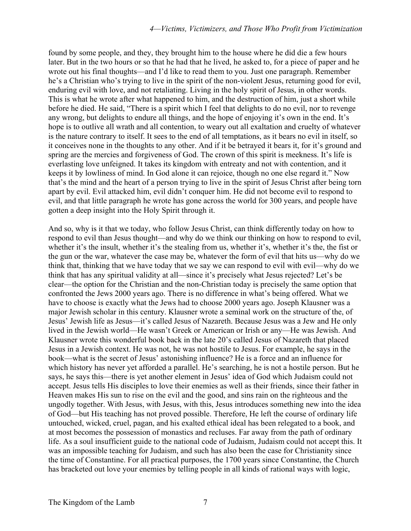found by some people, and they, they brought him to the house where he did die a few hours later. But in the two hours or so that he had that he lived, he asked to, for a piece of paper and he wrote out his final thoughts—and I'd like to read them to you. Just one paragraph. Remember he's a Christian who's trying to live in the spirit of the non-violent Jesus, returning good for evil, enduring evil with love, and not retaliating. Living in the holy spirit of Jesus, in other words. This is what he wrote after what happened to him, and the destruction of him, just a short while before he died. He said, "There is a spirit which I feel that delights to do no evil, nor to revenge any wrong, but delights to endure all things, and the hope of enjoying it's own in the end. It's hope is to outlive all wrath and all contention, to weary out all exaltation and cruelty of whatever is the nature contrary to itself. It sees to the end of all temptations, as it bears no evil in itself, so it conceives none in the thoughts to any other. And if it be betrayed it bears it, for it's ground and spring are the mercies and forgiveness of God. The crown of this spirit is meekness. It's life is everlasting love unfeigned. It takes its kingdom with entreaty and not with contention, and it keeps it by lowliness of mind. In God alone it can rejoice, though no one else regard it." Now that's the mind and the heart of a person trying to live in the spirit of Jesus Christ after being torn apart by evil. Evil attacked him, evil didn't conquer him. He did not become evil to respond to evil, and that little paragraph he wrote has gone across the world for 300 years, and people have gotten a deep insight into the Holy Spirit through it.

And so, why is it that we today, who follow Jesus Christ, can think differently today on how to respond to evil than Jesus thought—and why do we think our thinking on how to respond to evil, whether it's the insult, whether it's the stealing from us, whether it's, whether it's the, the fist or the gun or the war, whatever the case may be, whatever the form of evil that hits us—why do we think that, thinking that we have today that we say we can respond to evil with evil—why do we think that has any spiritual validity at all—since it's precisely what Jesus rejected? Let's be clear—the option for the Christian and the non-Christian today is precisely the same option that confronted the Jews 2000 years ago. There is no difference in what's being offered. What we have to choose is exactly what the Jews had to choose 2000 years ago. Joseph Klausner was a major Jewish scholar in this century. Klausner wrote a seminal work on the structure of the, of Jesus' Jewish life as Jesus—it's called Jesus of Nazareth. Because Jesus was a Jew and He only lived in the Jewish world—He wasn't Greek or American or Irish or any—He was Jewish. And Klausner wrote this wonderful book back in the late 20's called Jesus of Nazareth that placed Jesus in a Jewish context. He was not, he was not hostile to Jesus. For example, he says in the book—what is the secret of Jesus' astonishing influence? He is a force and an influence for which history has never yet afforded a parallel. He's searching, he is not a hostile person. But he says, he says this—there is yet another element in Jesus' idea of God which Judaism could not accept. Jesus tells His disciples to love their enemies as well as their friends, since their father in Heaven makes His sun to rise on the evil and the good, and sins rain on the righteous and the ungodly together. With Jesus, with Jesus, with this, Jesus introduces something new into the idea of God—but His teaching has not proved possible. Therefore, He left the course of ordinary life untouched, wicked, cruel, pagan, and his exalted ethical ideal has been relegated to a book, and at most becomes the possession of monastics and recluses. Far away from the path of ordinary life. As a soul insufficient guide to the national code of Judaism, Judaism could not accept this. It was an impossible teaching for Judaism, and such has also been the case for Christianity since the time of Constantine. For all practical purposes, the 1700 years since Constantine, the Church has bracketed out love your enemies by telling people in all kinds of rational ways with logic,